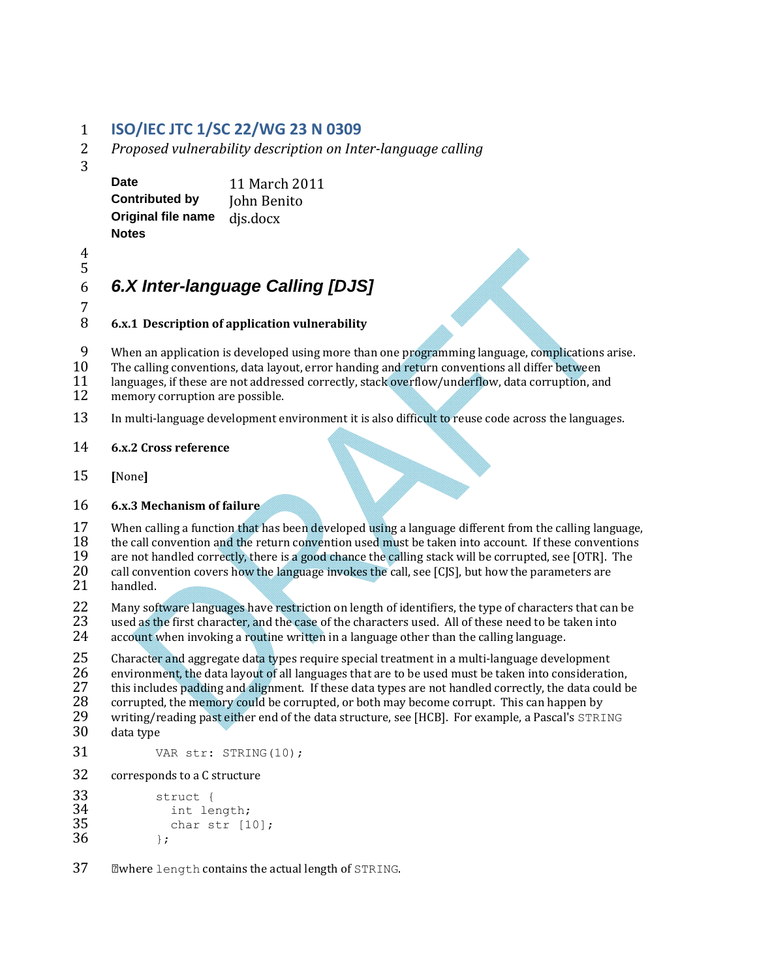### 1 **ISO/IEC JTC 1/SC 22/WG 23 N 0309**

- 2 *Proposed vulnerability description on Inter‐language calling*
- 3

**Date** 11 March 2011 **Contributed by John Benito Original file name** djs.docx **Notes**

4 

## 5

# 6 *6.X Inter-language Calling [DJS]*

 $\begin{array}{c} 7 \\ 8 \end{array}$ 8 **6.x.1 Description of application vulnerability**

9 When an application is developed using more than one programming language, complications arise.<br>10 The calling conventions, data layout, error handing and return conventions all differ between

- The calling conventions, data layout, error handing and return conventions all differ between
- 11 languages, if these are not addressed correctly, stack overflow/underflow, data corruption, and memory corruption are possible.
- memory corruption are possible.
- 13 In multi-language development environment it is also difficult to reuse code across the languages.

#### 14 **6.x.2 Cross reference**

15 **[**None**]**

#### 16 **6.x.3 Mechanism of failure**

17 When calling a function that has been developed using a language different from the calling language,<br>18 the call convention and the return convention used must be taken into account. If these conventions 18 the call convention and the return convention used must be taken into account. If these conventions are not handled correctly, there is a good chance the calling stack will be corrupted, see [OTR]. The 19 are not handled correctly, there is a good chance the calling stack will be corrupted, see [OTR]. The 20 call convention covers how the language invokes the call. see [CIS], but how the parameters are call convention covers how the language invokes the call, see  $[C|S]$ , but how the parameters are

21 handled.

22 Many software languages have restriction on length of identifiers, the type of characters that can be<br>23 used as the first character, and the case of the characters used. All of these need to be taken into used as the first character, and the case of the characters used. All of these need to be taken into

24 account when invoking a routine written in a language other than the calling language.

25 Character and aggregate data types require special treatment in a multi-language development<br>26 environment, the data layout of all languages that are to be used must be taken into consideration 26 environment, the data layout of all languages that are to be used must be taken into consideration,<br>27 this includes padding and alignment. If these data types are not handled correctly, the data could b 27 this includes padding and alignment. If these data types are not handled correctly, the data could be 28 corrupted. the memory could be corrupted, or both may become corrupt. This can happen by 28 corrupted, the memory could be corrupted, or both may become corrupt. This can happen by<br>29 writing/reading past either end of the data structure, see [HCB]. For example, a Pascal's  $STRI$ 29 writing/reading past either end of the data structure, see [HCB]. For example, a Pascal's STRING<br>30 data type data type

- 31 VAR str: STRING(10);
- 32 corresponds to a C structure

```
33 struct {<br>34 int le
34	 int length; 
             char str [10];
36 \t\t\t\t\t i;
```
37 Where length contains the actual length of STRING.